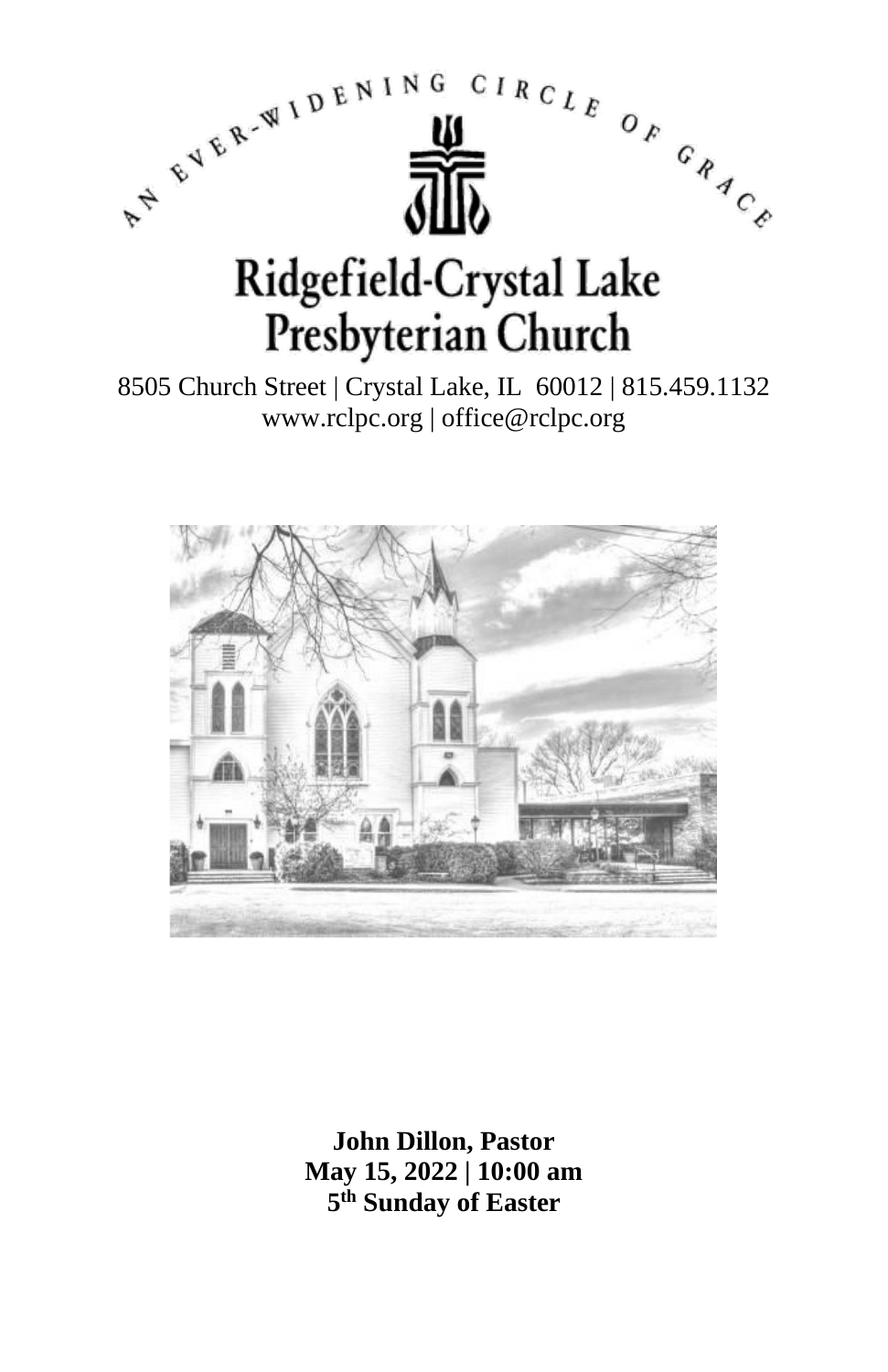

8505 Church Street | Crystal Lake, IL 60012 | 815.459.1132 www.rclpc.org | office@rclpc.org



**John Dillon, Pastor May 15, 2022 | 10:00 am 5 th Sunday of Easter**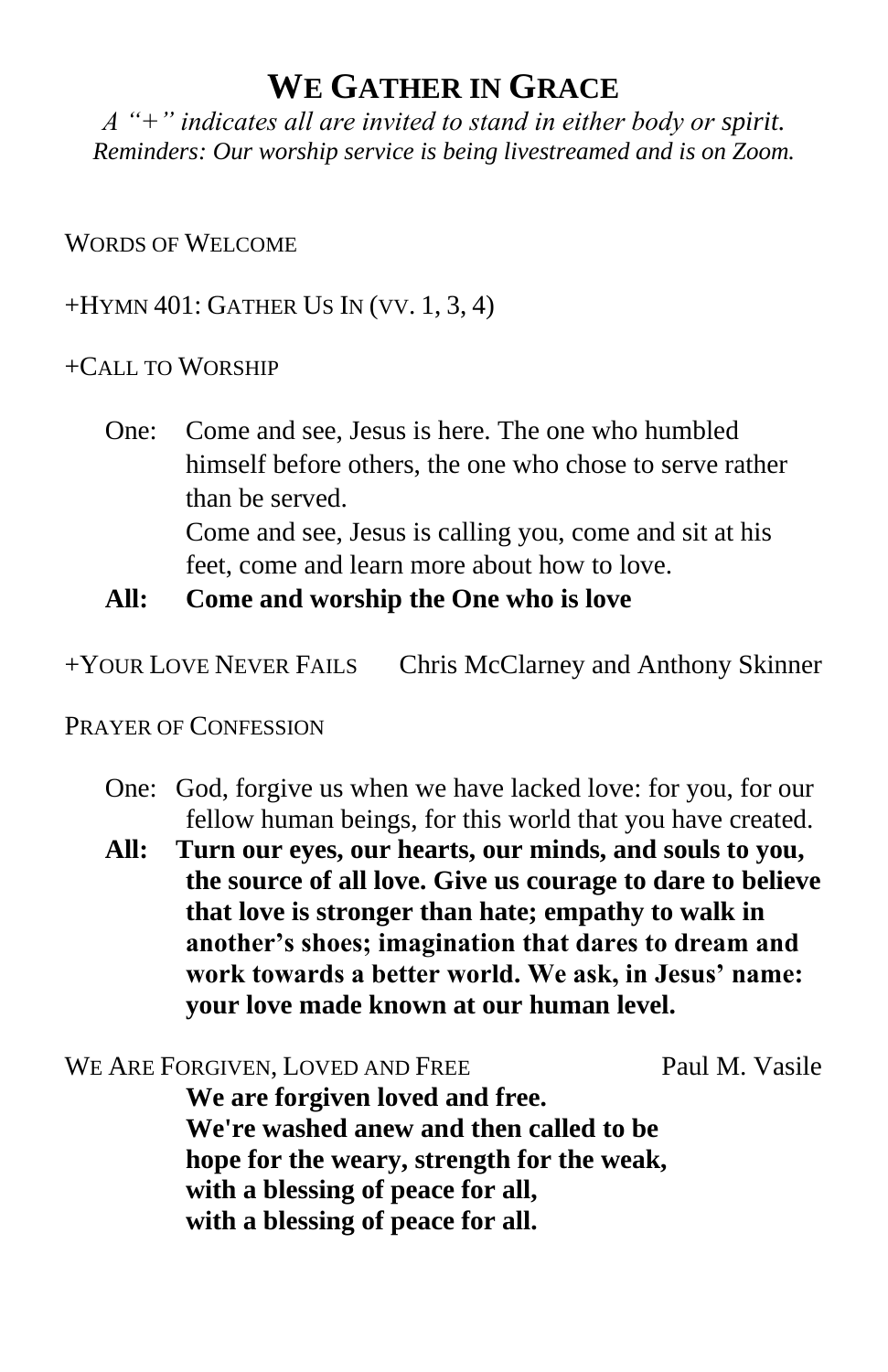## **WE GATHER IN GRACE**

*A "+" indicates all are invited to stand in either body or spirit. Reminders: Our worship service is being livestreamed and is on Zoom.*

WORDS OF WELCOME

+HYMN 401: GATHER US IN (VV. 1, 3, 4)

+CALL TO WORSHIP

One: Come and see, Jesus is here. The one who humbled himself before others, the one who chose to serve rather than be served. Come and see, Jesus is calling you, come and sit at his feet, come and learn more about how to love.

### **All: Come and worship the One who is love**

+YOUR LOVE NEVER FAILS Chris McClarney and Anthony Skinner

### PRAYER OF CONFESSION

- One: God, forgive us when we have lacked love: for you, for our fellow human beings, for this world that you have created.
- **All: Turn our eyes, our hearts, our minds, and souls to you, the source of all love. Give us courage to dare to believe that love is stronger than hate; empathy to walk in another's shoes; imagination that dares to dream and work towards a better world. We ask, in Jesus' name: your love made known at our human level.**

### WE ARE FORGIVEN, LOVED AND FREE Paul M. Vasile

**We are forgiven loved and free. We're washed anew and then called to be hope for the weary, strength for the weak, with a blessing of peace for all, with a blessing of peace for all.**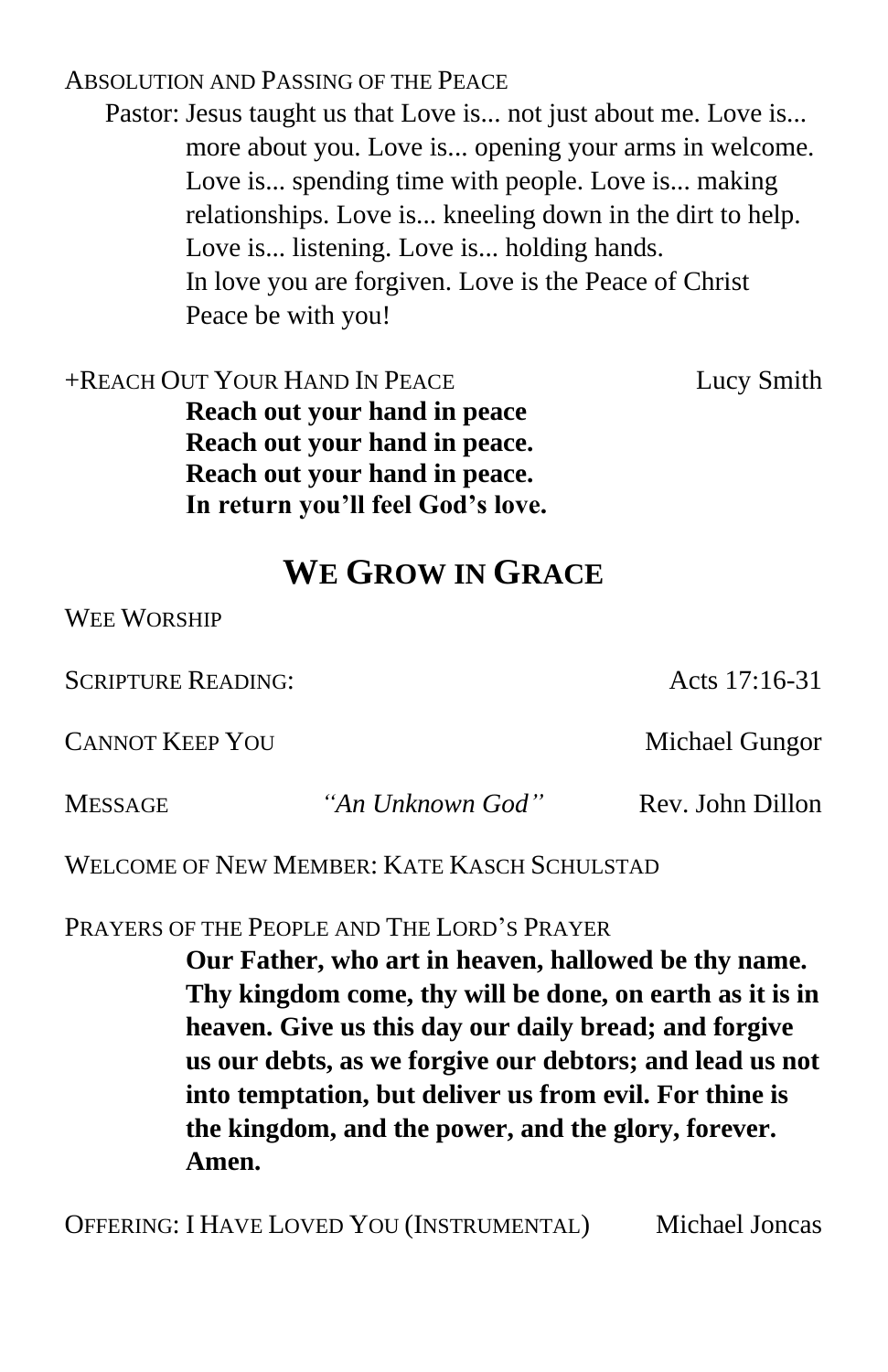### ABSOLUTION AND PASSING OF THE PEACE

Pastor: Jesus taught us that Love is... not just about me. Love is... more about you. Love is... opening your arms in welcome. Love is... spending time with people. Love is... making relationships. Love is... kneeling down in the dirt to help. Love is... listening. Love is... holding hands. In love you are forgiven. Love is the Peace of Christ Peace be with you!

+REACH OUT YOUR HAND IN PEACE Lucy Smith **Reach out your hand in peace Reach out your hand in peace. Reach out your hand in peace. In return you'll feel God's love.**

## **WE GROW IN GRACE**

WEE WORSHIP

SCRIPTURE READING: Acts 17:16-31

CANNOT KEEP YOU Michael Gungor

MESSAGE *"An Unknown God"* Rev. John Dillon

WELCOME OF NEW MEMBER: KATE KASCH SCHULSTAD

PRAYERS OF THE PEOPLE AND THE LORD'S PRAYER

**Our Father, who art in heaven, hallowed be thy name. Thy kingdom come, thy will be done, on earth as it is in heaven. Give us this day our daily bread; and forgive us our debts, as we forgive our debtors; and lead us not into temptation, but deliver us from evil. For thine is the kingdom, and the power, and the glory, forever. Amen.**

OFFERING: I HAVE LOVED YOU (INSTRUMENTAL) Michael Joncas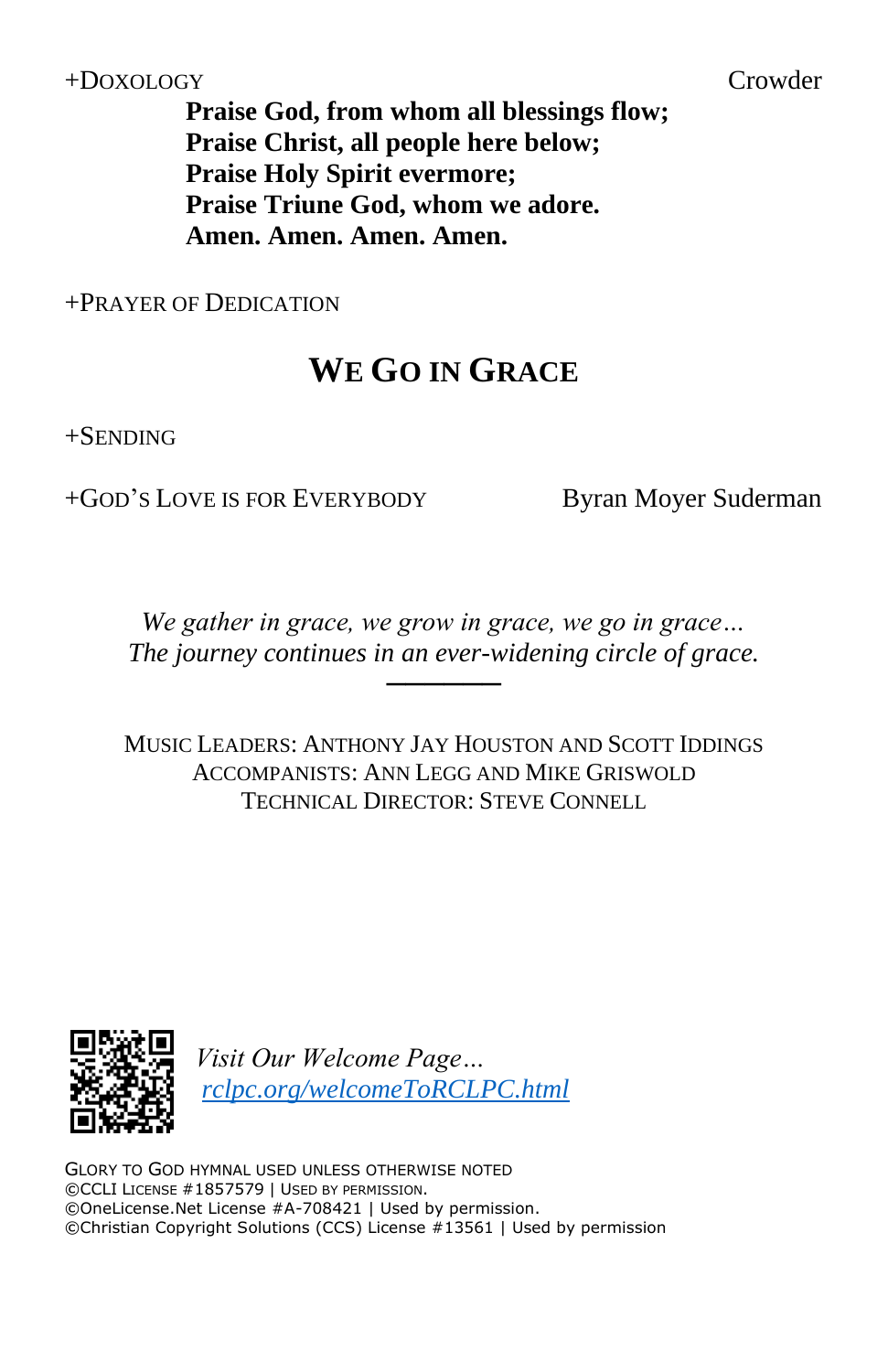### +DOXOLOGY Crowder

**Praise God, from whom all blessings flow; Praise Christ, all people here below; Praise Holy Spirit evermore; Praise Triune God, whom we adore. Amen. Amen. Amen. Amen.**

+PRAYER OF DEDICATION

# **WE GO IN GRACE**

+SENDING

+GOD'S LOVE IS FOR EVERYBODY Byran Moyer Suderman

*We gather in grace, we grow in grace, we go in grace… The journey continues in an ever-widening circle of grace.*

──────

MUSIC LEADERS: ANTHONY JAY HOUSTON AND SCOTT IDDINGS ACCOMPANISTS: ANN LEGG AND MIKE GRISWOLD TECHNICAL DIRECTOR: STEVE CONNELL



*Visit Our Welcome Page… [rclpc.org/welcomeToRCLPC.html](http://rclpc.org/welcomeToRCLPC.html)*

GLORY TO GOD HYMNAL USED UNLESS OTHERWISE NOTED ©CCLI LICENSE #1857579 | USED BY PERMISSION. ©OneLicense.Net License #A-708421 | Used by permission. ©Christian Copyright Solutions (CCS) License #13561 | Used by permission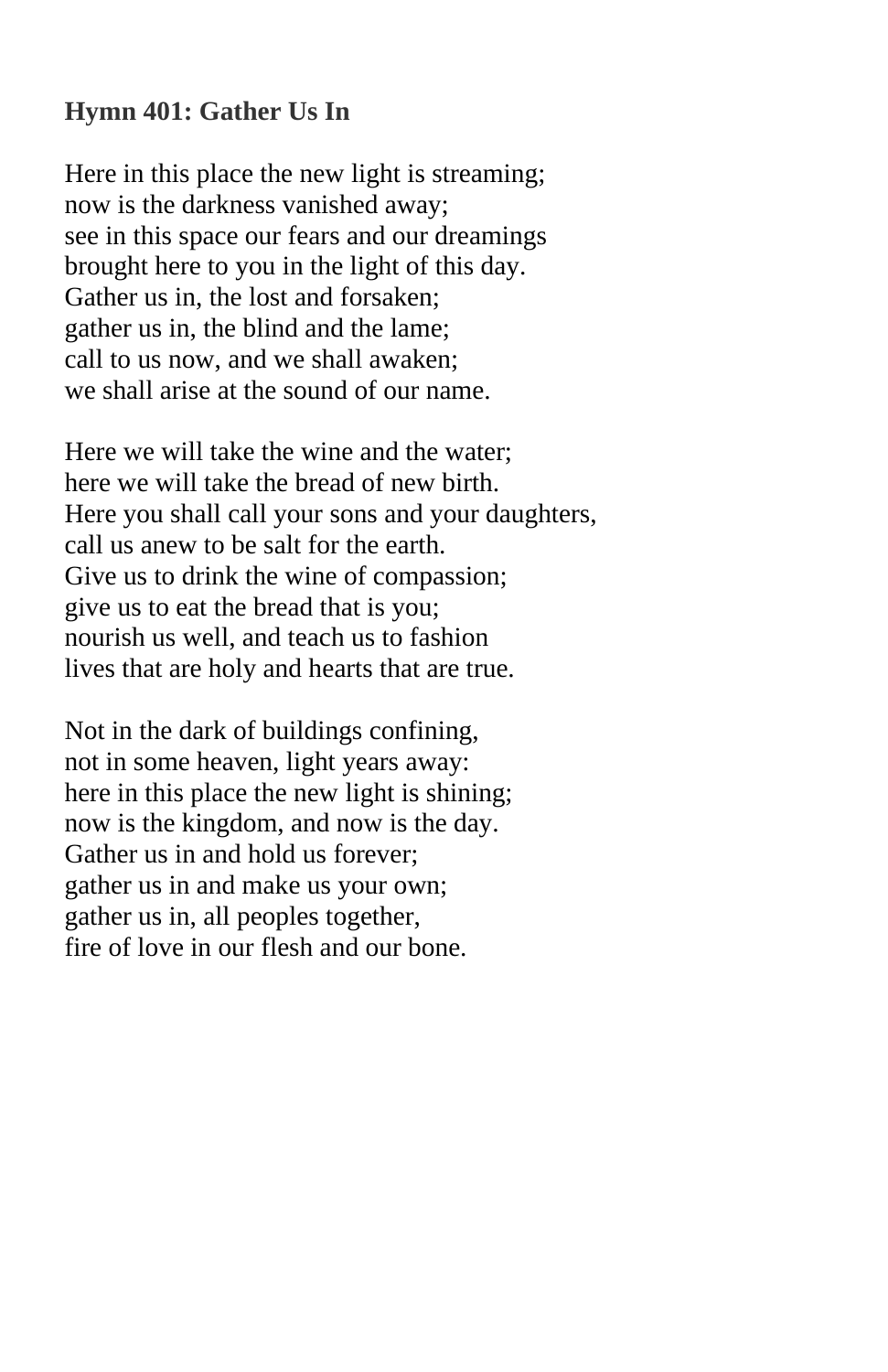### **Hymn 401: Gather Us In**

Here in this place the new light is streaming; now is the darkness vanished away; see in this space our fears and our dreamings brought here to you in the light of this day. Gather us in, the lost and forsaken; gather us in, the blind and the lame; call to us now, and we shall awaken; we shall arise at the sound of our name.

Here we will take the wine and the water; here we will take the bread of new birth. Here you shall call your sons and your daughters, call us anew to be salt for the earth. Give us to drink the wine of compassion; give us to eat the bread that is you; nourish us well, and teach us to fashion lives that are holy and hearts that are true.

Not in the dark of buildings confining, not in some heaven, light years away: here in this place the new light is shining; now is the kingdom, and now is the day. Gather us in and hold us forever; gather us in and make us your own; gather us in, all peoples together, fire of love in our flesh and our bone.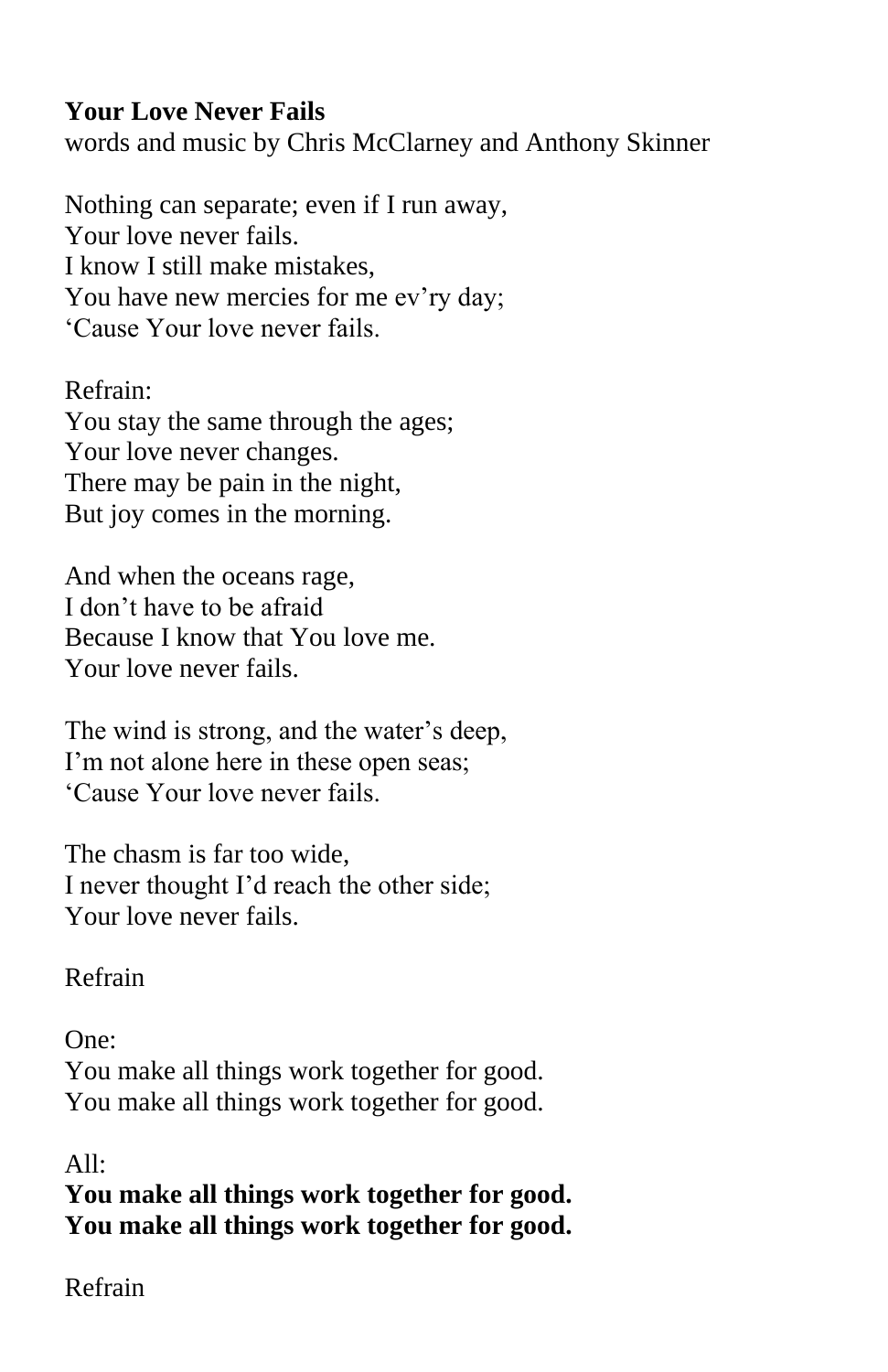### **Your Love Never Fails**

words and music by Chris McClarney and Anthony Skinner

Nothing can separate; even if I run away, Your love never fails. I know I still make mistakes, You have new mercies for me ev'ry day; 'Cause Your love never fails.

Refrain: You stay the same through the ages; Your love never changes. There may be pain in the night, But joy comes in the morning.

And when the oceans rage, I don't have to be afraid Because I know that You love me. Your love never fails.

The wind is strong, and the water's deep, I'm not alone here in these open seas; 'Cause Your love never fails.

The chasm is far too wide, I never thought I'd reach the other side; Your love never fails.

Refrain

One: You make all things work together for good. You make all things work together for good.

 $All:$ 

**You make all things work together for good. You make all things work together for good.**

Refrain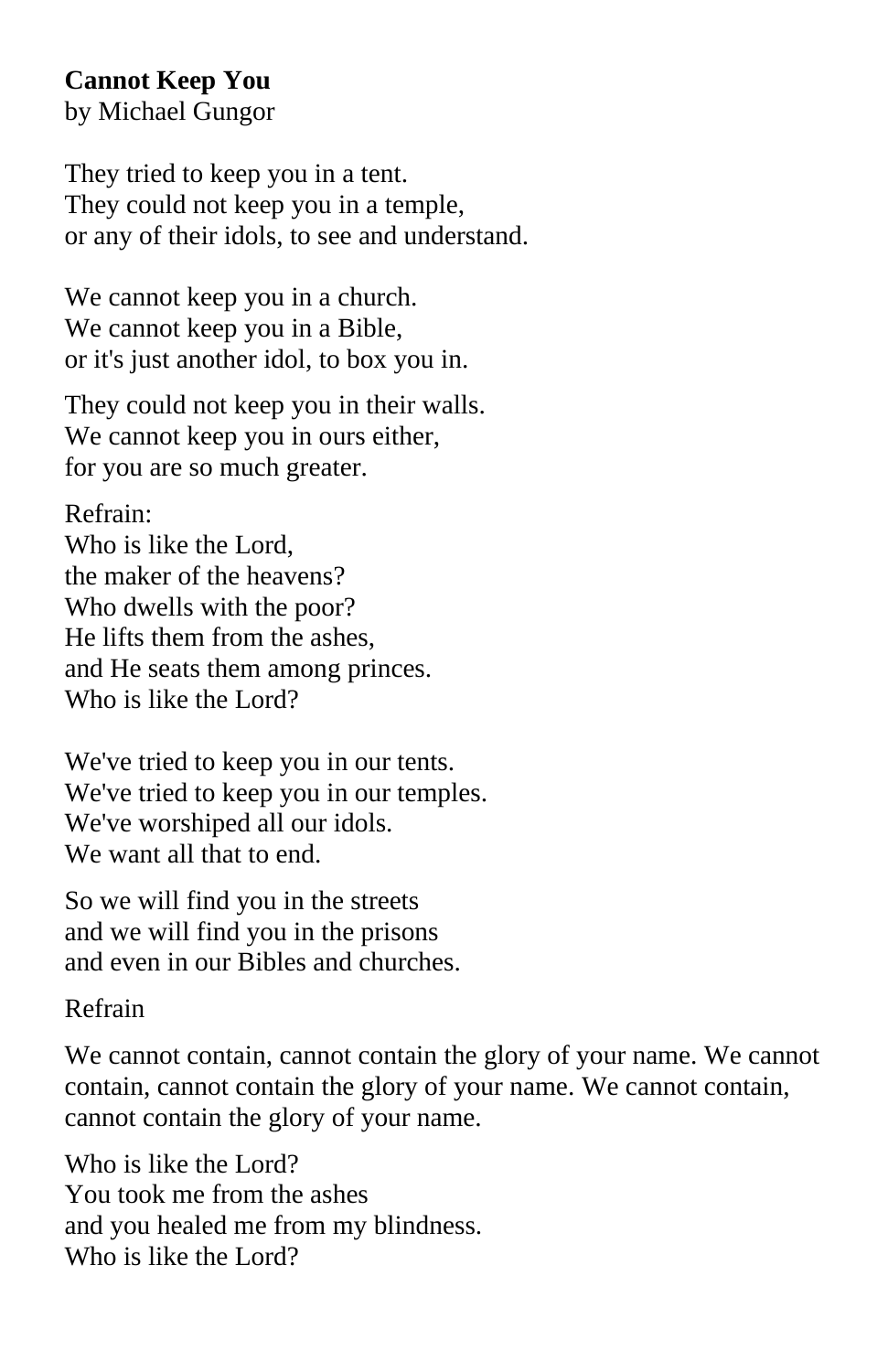## **Cannot Keep You**

by Michael Gungor

They tried to keep you in a tent. They could not keep you in a temple, or any of their idols, to see and understand.

We cannot keep you in a church. We cannot keep you in a Bible, or it's just another idol, to box you in.

They could not keep you in their walls. We cannot keep you in ours either, for you are so much greater.

Refrain: Who is like the Lord, the maker of the heavens? Who dwells with the poor? He lifts them from the ashes, and He seats them among princes. Who is like the Lord?

We've tried to keep you in our tents. We've tried to keep you in our temples. We've worshiped all our idols. We want all that to end.

So we will find you in the streets and we will find you in the prisons and even in our Bibles and churches.

### Refrain

We cannot contain, cannot contain the glory of your name. We cannot contain, cannot contain the glory of your name. We cannot contain, cannot contain the glory of your name.

Who is like the Lord? You took me from the ashes and you healed me from my blindness. Who is like the Lord?